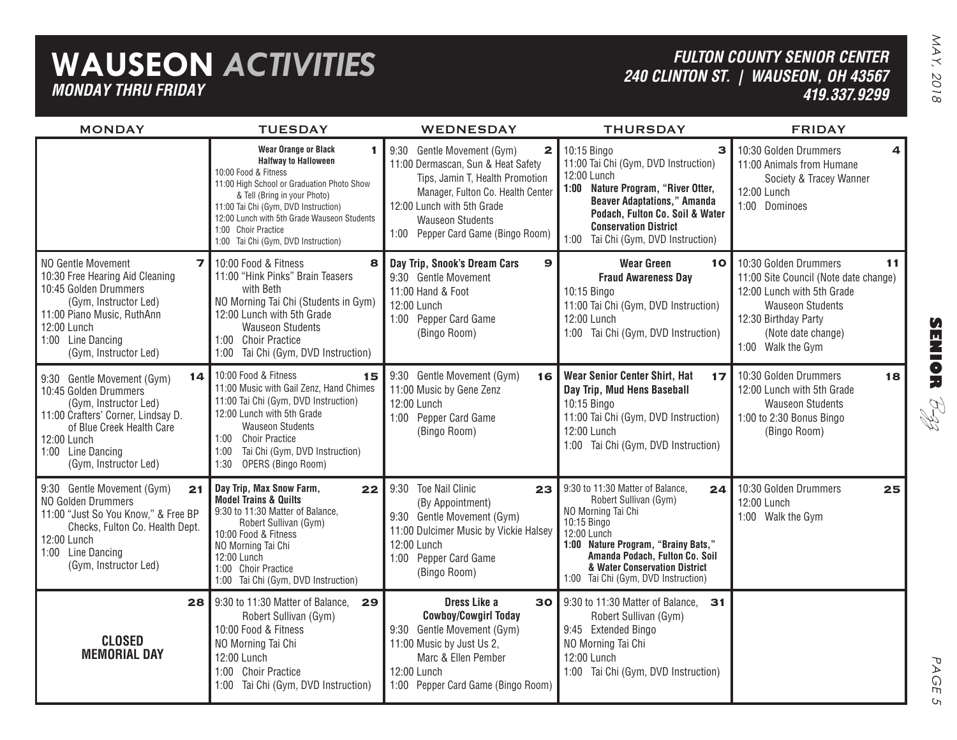| <b>WAUSEON ACTIVITIES</b><br><b>MONDAY THRU FRIDAY</b>                                                                                                                                                             |                                                                                                                                                                                                                                                                                                                            |                                                                                                                                                                                                                                                         | <b>FULTON COUNTY SENIOR CENTER</b><br>240 CLINTON ST.   WAUSEON, OH 43567<br>419.337.9299                                                                                                                                                                            |                                                                                                                                                                                                  |  |
|--------------------------------------------------------------------------------------------------------------------------------------------------------------------------------------------------------------------|----------------------------------------------------------------------------------------------------------------------------------------------------------------------------------------------------------------------------------------------------------------------------------------------------------------------------|---------------------------------------------------------------------------------------------------------------------------------------------------------------------------------------------------------------------------------------------------------|----------------------------------------------------------------------------------------------------------------------------------------------------------------------------------------------------------------------------------------------------------------------|--------------------------------------------------------------------------------------------------------------------------------------------------------------------------------------------------|--|
| <b>MONDAY</b>                                                                                                                                                                                                      | <b>TUESDAY</b>                                                                                                                                                                                                                                                                                                             | <b>WEDNESDAY</b>                                                                                                                                                                                                                                        | <b>THURSDAY</b>                                                                                                                                                                                                                                                      | <b>FRIDAY</b>                                                                                                                                                                                    |  |
|                                                                                                                                                                                                                    | <b>Wear Orange or Black</b><br>1<br><b>Halfway to Halloween</b><br>10:00 Food & Fitness<br>11:00 High School or Graduation Photo Show<br>& Tell (Bring in your Photo)<br>11:00 Tai Chi (Gym, DVD Instruction)<br>12:00 Lunch with 5th Grade Wauseon Students<br>1:00 Choir Practice<br>1:00 Tai Chi (Gym, DVD Instruction) | 9:30 Gentle Movement (Gym)<br>$\mathbf{2}$<br>11:00 Dermascan, Sun & Heat Safety<br>Tips, Jamin T, Health Promotion<br>Manager, Fulton Co. Health Center<br>12:00 Lunch with 5th Grade<br><b>Wauseon Students</b><br>1:00 Pepper Card Game (Bingo Room) | 10:15 Bingo<br>3<br>11:00 Tai Chi (Gym, DVD Instruction)<br>12:00 Lunch<br>1:00 Nature Program, "River Otter,<br><b>Beaver Adaptations," Amanda</b><br>Podach, Fulton Co. Soil & Water<br><b>Conservation District</b><br>1:00 Tai Chi (Gym, DVD Instruction)        | 10:30 Golden Drummers<br>11:00 Animals from Humane<br>Society & Tracey Wanner<br>12:00 Lunch<br>1:00 Dominoes                                                                                    |  |
| NO Gentle Movement<br>7<br>10:30 Free Hearing Aid Cleaning<br>10:45 Golden Drummers<br>(Gym, Instructor Led)<br>11:00 Piano Music, RuthAnn<br>12:00 Lunch<br>1:00 Line Dancing<br>(Gym, Instructor Led)            | 10:00 Food & Fitness<br>8<br>11:00 "Hink Pinks" Brain Teasers<br>with Beth<br>NO Morning Tai Chi (Students in Gym)<br>12:00 Lunch with 5th Grade<br><b>Wauseon Students</b><br>1:00 Choir Practice<br>1:00 Tai Chi (Gym, DVD Instruction)                                                                                  | Day Trip, Snook's Dream Cars<br>9<br>9:30 Gentle Movement<br>11:00 Hand & Foot<br>12:00 Lunch<br>1:00 Pepper Card Game<br>(Bingo Room)                                                                                                                  | <b>Wear Green</b><br>10<br><b>Fraud Awareness Day</b><br>10:15 Bingo<br>11:00 Tai Chi (Gym, DVD Instruction)<br>12:00 Lunch<br>1:00 Tai Chi (Gym, DVD Instruction)                                                                                                   | 10:30 Golden Drummers<br>11<br>11:00 Site Council (Note date change)<br>12:00 Lunch with 5th Grade<br><b>Wauseon Students</b><br>12:30 Birthday Party<br>(Note date change)<br>1:00 Walk the Gym |  |
| 14<br>9:30 Gentle Movement (Gym)<br>10:45 Golden Drummers<br>(Gym, Instructor Led)<br>11:00 Crafters' Corner, Lindsay D.<br>of Blue Creek Health Care<br>12:00 Lunch<br>1:00 Line Dancing<br>(Gym, Instructor Led) | 10:00 Food & Fitness<br>15<br>11:00 Music with Gail Zenz, Hand Chimes<br>11:00 Tai Chi (Gym, DVD Instruction)<br>12:00 Lunch with 5th Grade<br><b>Wauseon Students</b><br>1:00 Choir Practice<br>Tai Chi (Gym, DVD Instruction)<br>1:00<br>OPERS (Bingo Room)<br>1:30                                                      | 9:30 Gentle Movement (Gym)<br>16<br>11:00 Music by Gene Zenz<br>12:00 Lunch<br>1:00 Pepper Card Game<br>(Bingo Room)                                                                                                                                    | <b>Wear Senior Center Shirt, Hat</b><br>17<br>Day Trip, Mud Hens Baseball<br>10:15 Bingo<br>11:00 Tai Chi (Gym, DVD Instruction)<br>12:00 Lunch<br>1:00 Tai Chi (Gym, DVD Instruction)                                                                               | 10:30 Golden Drummers<br>18<br>12:00 Lunch with 5th Grade<br><b>Wauseon Students</b><br>1:00 to 2:30 Bonus Bingo<br>(Bingo Room)                                                                 |  |
| 9:30 Gentle Movement (Gym)<br>21<br>NO Golden Drummers<br>11:00 "Just So You Know," & Free BP<br>Checks, Fulton Co. Health Dept.<br>12:00 Lunch<br>1:00 Line Dancing<br>(Gym, Instructor Led)                      | Day Trip, Max Snow Farm,<br>22<br><b>Model Trains &amp; Quilts</b><br>9:30 to 11:30 Matter of Balance,<br>Robert Sullivan (Gym)<br>10:00 Food & Fitness<br>NO Morning Tai Chi<br>12:00 Lunch<br>1:00 Choir Practice<br>1:00 Tai Chi (Gym, DVD Instruction)                                                                 | <b>Toe Nail Clinic</b><br>9:30<br>23<br>(By Appointment)<br>9:30 Gentle Movement (Gym)<br>11:00 Dulcimer Music by Vickie Halsey<br>12:00 Lunch<br>1:00 Pepper Card Game<br>(Bingo Room)                                                                 | 9:30 to 11:30 Matter of Balance,<br>24<br>Robert Sullivan (Gym)<br>NO Morning Tai Chi<br>10:15 Bingo<br>12:00 Lunch<br>1:00 Nature Program, "Brainy Bats,"<br>Amanda Podach, Fulton Co. Soil<br>& Water Conservation District<br>1:00 Tai Chi (Gym, DVD Instruction) | 10:30 Golden Drummers<br>25<br>12:00 Lunch<br>1:00 Walk the Gym                                                                                                                                  |  |
| 28 l<br><b>CLOSED</b><br><b>MEMORIAL DAY</b>                                                                                                                                                                       | 9:30 to 11:30 Matter of Balance,<br>29<br>Robert Sullivan (Gym)<br>10:00 Food & Fitness<br>NO Morning Tai Chi<br>12:00 Lunch<br>1:00 Choir Practice<br>1:00 Tai Chi (Gym, DVD Instruction)                                                                                                                                 | Dress Like a<br><b>Cowboy/Cowgirl Today</b><br>9:30 Gentle Movement (Gym)<br>11:00 Music by Just Us 2,<br>Marc & Ellen Pember<br>12:00 Lunch<br>1:00 Pepper Card Game (Bingo Room)                                                                      | <b>30</b>   9:30 to 11:30 Matter of Balance,<br>31<br>Robert Sullivan (Gym)<br>9:45 Extended Bingo<br>NO Morning Tai Chi<br>12:00 Lunch<br>1:00 Tai Chi (Gym, DVD Instruction)                                                                                       |                                                                                                                                                                                                  |  |

**SENIOR** B-zz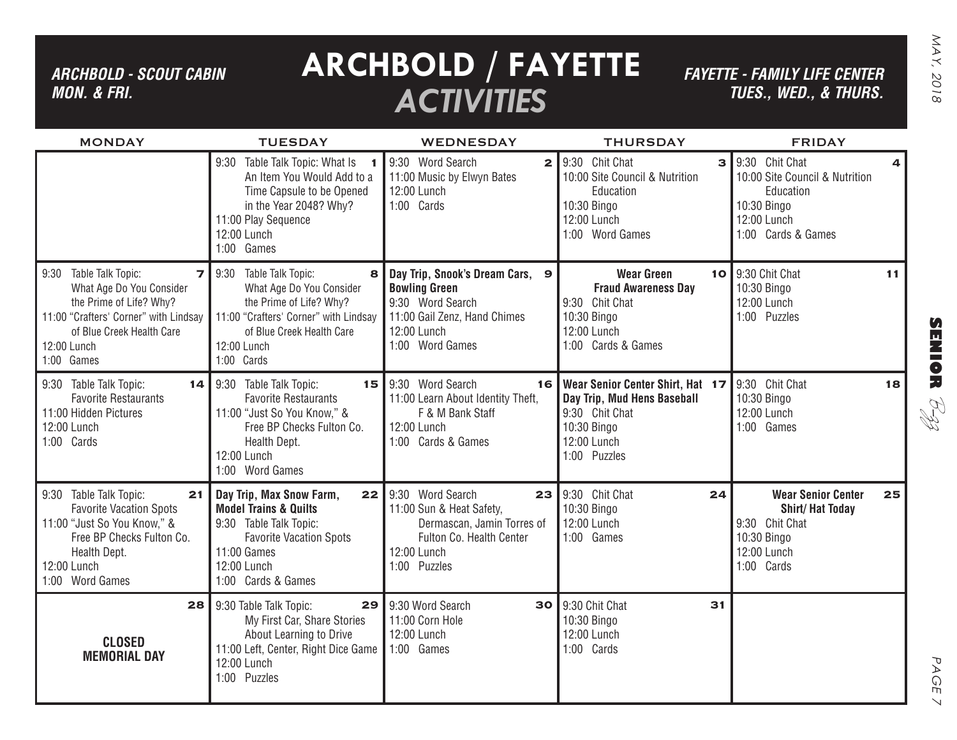## *ARCHBOLD - SCOUT CABIN MON. & FRI.*

# **ARCHBOLD / FAYETTE** *ACTIVITIES*

*FAYETTE - FAMILY LIFE CENTER TUES., Wed., & THURS.*

| <b>MONDAY</b>                                                                                                                                                                                         | <b>TUESDAY</b>                                                                                                                                                                           | <b>WEDNESDAY</b>                                                                                                                                 | <b>THURSDAY</b>                                                                                                                 | <b>FRIDAY</b>                                                                                                           |
|-------------------------------------------------------------------------------------------------------------------------------------------------------------------------------------------------------|------------------------------------------------------------------------------------------------------------------------------------------------------------------------------------------|--------------------------------------------------------------------------------------------------------------------------------------------------|---------------------------------------------------------------------------------------------------------------------------------|-------------------------------------------------------------------------------------------------------------------------|
|                                                                                                                                                                                                       | Table Talk Topic: What Is 1<br>9:30<br>An Item You Would Add to a<br>Time Capsule to be Opened<br>in the Year 2048? Why?<br>11:00 Play Sequence<br>12:00 Lunch<br>1:00 Games             | 9:30 Word Search<br>$\overline{2}$<br>11:00 Music by Elwyn Bates<br>12:00 Lunch<br>1:00 Cards                                                    | 9:30 Chit Chat<br>$\mathbf{B}$<br>10:00 Site Council & Nutrition<br>Education<br>10:30 Bingo<br>12:00 Lunch<br>1:00 Word Games  | 9:30 Chit Chat<br>4<br>10:00 Site Council & Nutrition<br>Education<br>10:30 Bingo<br>12:00 Lunch<br>1:00 Cards & Games  |
| Table Talk Topic:<br>9:30<br>$\overline{z}$<br>What Age Do You Consider<br>the Prime of Life? Why?<br>11:00 "Crafters' Corner" with Lindsay<br>of Blue Creek Health Care<br>12:00 Lunch<br>1:00 Games | Table Talk Topic:<br>9:30<br>8<br>What Age Do You Consider<br>the Prime of Life? Why?<br>11:00 "Crafters' Corner" with Lindsay<br>of Blue Creek Health Care<br>12:00 Lunch<br>1:00 Cards | Day Trip, Snook's Dream Cars, 9<br><b>Bowling Green</b><br>9:30 Word Search<br>11:00 Gail Zenz, Hand Chimes<br>12:00 Lunch<br>1:00 Word Games    | <b>Wear Green</b><br><b>Fraud Awareness Day</b><br>9:30 Chit Chat<br>10:30 Bingo<br>12:00 Lunch<br>1:00 Cards & Games           | 10 9:30 Chit Chat<br>11<br>10:30 Bingo<br>12:00 Lunch<br>1:00 Puzzles                                                   |
| 9:30 Table Talk Topic:<br>14 I<br><b>Favorite Restaurants</b><br>11:00 Hidden Pictures<br>12:00 Lunch<br>1:00 Cards                                                                                   | 9:30 Table Talk Topic:<br>15<br><b>Favorite Restaurants</b><br>11:00 "Just So You Know," &<br>Free BP Checks Fulton Co.<br>Health Dept.<br>12:00 Lunch<br>1:00 Word Games                | 9:30 Word Search<br>16<br>11:00 Learn About Identity Theft,<br>F & M Bank Staff<br>12:00 Lunch<br>1:00 Cards & Games                             | Wear Senior Center Shirt, Hat 17<br>Day Trip, Mud Hens Baseball<br>9:30 Chit Chat<br>10:30 Bingo<br>12:00 Lunch<br>1:00 Puzzles | 9:30 Chit Chat<br>18<br>10:30 Bingo<br>12:00 Lunch<br>1:00 Games                                                        |
| 9:30 Table Talk Topic:<br>21<br><b>Favorite Vacation Spots</b><br>11:00 "Just So You Know," &<br>Free BP Checks Fulton Co.<br>Health Dept.<br>12:00 Lunch<br>1:00 Word Games                          | Day Trip, Max Snow Farm,<br><b>Model Trains &amp; Quilts</b><br>9:30 Table Talk Topic:<br><b>Favorite Vacation Spots</b><br>11:00 Games<br>12:00 Lunch<br>1:00 Cards & Games             | $22$ 9:30 Word Search<br>23<br>11:00 Sun & Heat Safety,<br>Dermascan, Jamin Torres of<br>Fulton Co. Health Center<br>12:00 Lunch<br>1:00 Puzzles | 9:30 Chit Chat<br>24<br>10:30 Bingo<br>12:00 Lunch<br>1:00 Games                                                                | <b>Wear Senior Center</b><br>25<br><b>Shirt/Hat Today</b><br>9:30 Chit Chat<br>10:30 Bingo<br>12:00 Lunch<br>1:00 Cards |
| 28<br><b>CLOSED</b><br><b>MEMORIAL DAY</b>                                                                                                                                                            | 9:30 Table Talk Topic:<br>29<br>My First Car, Share Stories<br>About Learning to Drive<br>11:00 Left, Center, Right Dice Game<br>12:00 Lunch<br>1:00 Puzzles                             | 9:30 Word Search<br>30<br>11:00 Corn Hole<br>12:00 Lunch<br>1:00 Games                                                                           | 9:30 Chit Chat<br>31<br>10:30 Bingo<br>12:00 Lunch<br>1:00 Cards                                                                |                                                                                                                         |

PAGE PAGE 7  $\overline{\phantom{0}}$ 

**SENIOR** B-zz